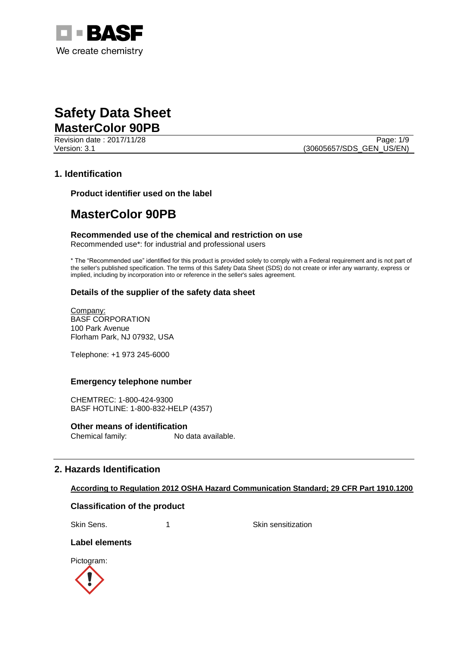

Revision date : 2017/11/28 Page: 1/9 Version: 3.1 (30605657/SDS\_GEN\_US/EN)

## **1. Identification**

**Product identifier used on the label**

## **MasterColor 90PB**

**Recommended use of the chemical and restriction on use** Recommended use\*: for industrial and professional users

\* The "Recommended use" identified for this product is provided solely to comply with a Federal requirement and is not part of the seller's published specification. The terms of this Safety Data Sheet (SDS) do not create or infer any warranty, express or implied, including by incorporation into or reference in the seller's sales agreement.

## **Details of the supplier of the safety data sheet**

Company: BASF CORPORATION 100 Park Avenue Florham Park, NJ 07932, USA

Telephone: +1 973 245-6000

## **Emergency telephone number**

CHEMTREC: 1-800-424-9300 BASF HOTLINE: 1-800-832-HELP (4357)

**Other means of identification** Chemical family: No data available.

## **2. Hazards Identification**

## **According to Regulation 2012 OSHA Hazard Communication Standard; 29 CFR Part 1910.1200**

## **Classification of the product**

Skin Sens. 1 1 Skin sensitization

## **Label elements**

Pictogram:

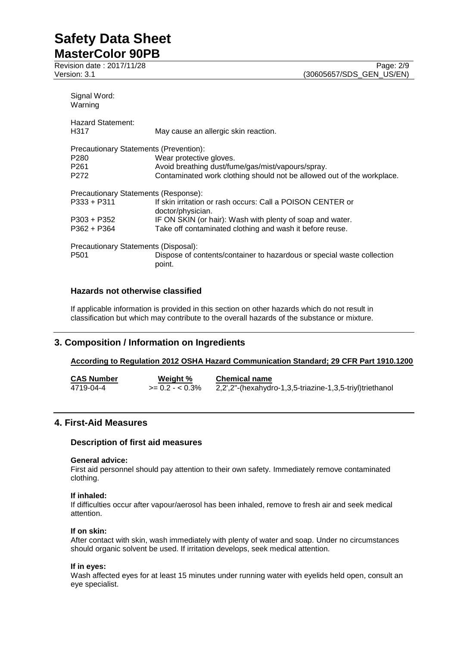| Signal Word:<br>Warning                |                                                                                  |  |  |  |
|----------------------------------------|----------------------------------------------------------------------------------|--|--|--|
| <b>Hazard Statement:</b><br>H317       | May cause an allergic skin reaction.                                             |  |  |  |
| Precautionary Statements (Prevention): |                                                                                  |  |  |  |
| P <sub>280</sub>                       | Wear protective gloves.                                                          |  |  |  |
| P <sub>261</sub>                       | Avoid breathing dust/fume/gas/mist/vapours/spray.                                |  |  |  |
| P <sub>272</sub>                       | Contaminated work clothing should not be allowed out of the workplace.           |  |  |  |
| Precautionary Statements (Response):   |                                                                                  |  |  |  |
| $P333 + P311$                          | If skin irritation or rash occurs: Call a POISON CENTER or<br>doctor/physician.  |  |  |  |
| P303 + P352                            | IF ON SKIN (or hair): Wash with plenty of soap and water.                        |  |  |  |
| $P362 + P364$                          | Take off contaminated clothing and wash it before reuse.                         |  |  |  |
| Precautionary Statements (Disposal):   |                                                                                  |  |  |  |
| P <sub>501</sub>                       | Dispose of contents/container to hazardous or special waste collection<br>point. |  |  |  |

## **Hazards not otherwise classified**

If applicable information is provided in this section on other hazards which do not result in classification but which may contribute to the overall hazards of the substance or mixture.

## **3. Composition / Information on Ingredients**

## **According to Regulation 2012 OSHA Hazard Communication Standard; 29 CFR Part 1910.1200**

| <b>CAS Number</b> | Weight %         | <b>Chemical name</b>                                     |
|-------------------|------------------|----------------------------------------------------------|
| 4719-04-4         | $>= 0.2 - 0.3\%$ | 2,2',2"-(hexahydro-1,3,5-triazine-1,3,5-triyl)triethanol |

## **4. First-Aid Measures**

## **Description of first aid measures**

## **General advice:**

First aid personnel should pay attention to their own safety. Immediately remove contaminated clothing.

## **If inhaled:**

If difficulties occur after vapour/aerosol has been inhaled, remove to fresh air and seek medical attention.

## **If on skin:**

After contact with skin, wash immediately with plenty of water and soap. Under no circumstances should organic solvent be used. If irritation develops, seek medical attention.

## **If in eyes:**

Wash affected eyes for at least 15 minutes under running water with eyelids held open, consult an eye specialist.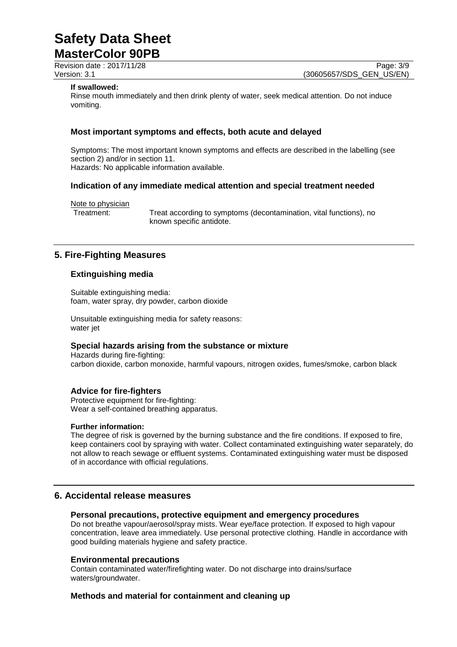Revision date : 2017/11/28 Page: 3/9

Version: 3.1 (30605657/SDS\_GEN\_US/EN)

## **If swallowed:**

Rinse mouth immediately and then drink plenty of water, seek medical attention. Do not induce vomiting.

## **Most important symptoms and effects, both acute and delayed**

Symptoms: The most important known symptoms and effects are described in the labelling (see section 2) and/or in section 11. Hazards: No applicable information available.

**Indication of any immediate medical attention and special treatment needed**

Note to physician

Treatment: Treat according to symptoms (decontamination, vital functions), no known specific antidote.

## **5. Fire-Fighting Measures**

## **Extinguishing media**

Suitable extinguishing media: foam, water spray, dry powder, carbon dioxide

Unsuitable extinguishing media for safety reasons: water jet

## **Special hazards arising from the substance or mixture**

Hazards during fire-fighting: carbon dioxide, carbon monoxide, harmful vapours, nitrogen oxides, fumes/smoke, carbon black

## **Advice for fire-fighters**

Protective equipment for fire-fighting: Wear a self-contained breathing apparatus.

## **Further information:**

The degree of risk is governed by the burning substance and the fire conditions. If exposed to fire, keep containers cool by spraying with water. Collect contaminated extinguishing water separately, do not allow to reach sewage or effluent systems. Contaminated extinguishing water must be disposed of in accordance with official regulations.

## **6. Accidental release measures**

## **Personal precautions, protective equipment and emergency procedures**

Do not breathe vapour/aerosol/spray mists. Wear eye/face protection. If exposed to high vapour concentration, leave area immediately. Use personal protective clothing. Handle in accordance with good building materials hygiene and safety practice.

## **Environmental precautions**

Contain contaminated water/firefighting water. Do not discharge into drains/surface waters/groundwater.

## **Methods and material for containment and cleaning up**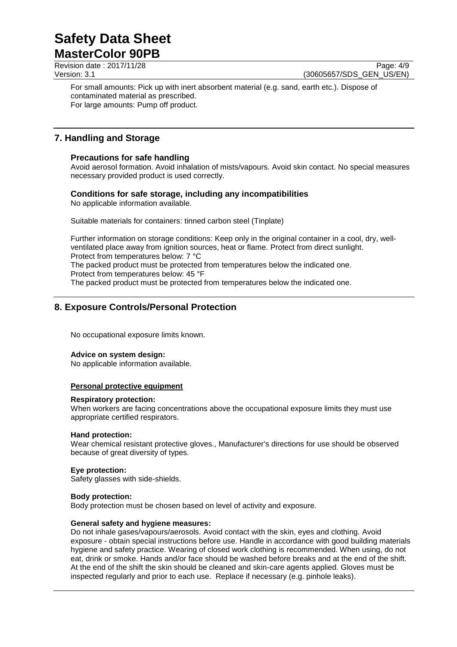Revision date : 2017/11/28 Page: 4/9

Version: 3.1 (30605657/SDS\_GEN\_US/EN)

For small amounts: Pick up with inert absorbent material (e.g. sand, earth etc.). Dispose of contaminated material as prescribed. For large amounts: Pump off product.

## **7. Handling and Storage**

## **Precautions for safe handling**

Avoid aerosol formation. Avoid inhalation of mists/vapours. Avoid skin contact. No special measures necessary provided product is used correctly.

## **Conditions for safe storage, including any incompatibilities**

No applicable information available.

Suitable materials for containers: tinned carbon steel (Tinplate)

Further information on storage conditions: Keep only in the original container in a cool, dry, wellventilated place away from ignition sources, heat or flame. Protect from direct sunlight. Protect from temperatures below: 7 °C

The packed product must be protected from temperatures below the indicated one. Protect from temperatures below: 45 °F

The packed product must be protected from temperatures below the indicated one.

## **8. Exposure Controls/Personal Protection**

No occupational exposure limits known.

## **Advice on system design:**

No applicable information available.

## **Personal protective equipment**

## **Respiratory protection:**

When workers are facing concentrations above the occupational exposure limits they must use appropriate certified respirators.

## **Hand protection:**

Wear chemical resistant protective gloves., Manufacturer's directions for use should be observed because of great diversity of types.

## **Eye protection:**

Safety glasses with side-shields.

## **Body protection:**

Body protection must be chosen based on level of activity and exposure.

## **General safety and hygiene measures:**

Do not inhale gases/vapours/aerosols. Avoid contact with the skin, eyes and clothing. Avoid exposure - obtain special instructions before use. Handle in accordance with good building materials hygiene and safety practice. Wearing of closed work clothing is recommended. When using, do not eat, drink or smoke. Hands and/or face should be washed before breaks and at the end of the shift. At the end of the shift the skin should be cleaned and skin-care agents applied. Gloves must be inspected regularly and prior to each use. Replace if necessary (e.g. pinhole leaks).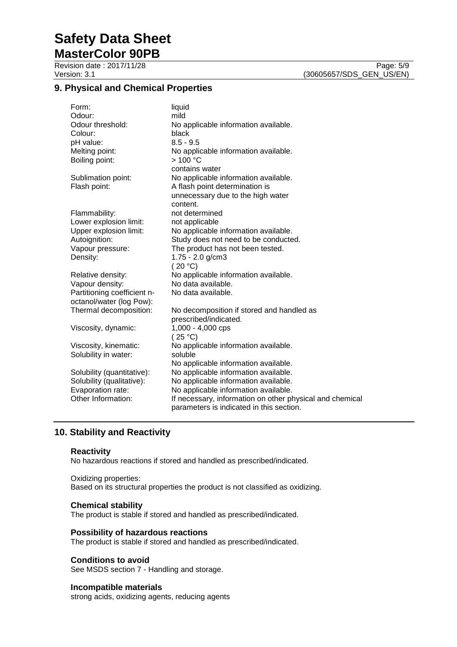# **Safety Data Sheet**

**MasterColor 90PB** Revision date : 2017/11/28 Page: 5/9

## **9. Physical and Chemical Properties**

| Form:<br>Odour:<br>Odour threshold:<br>Colour:<br>pH value:<br>Melting point:<br>Boiling point:                    | liquid<br>mild<br>No applicable information available.<br>black<br>$8.5 - 9.5$<br>No applicable information available.<br>>100 °C<br>contains water                                                                          |
|--------------------------------------------------------------------------------------------------------------------|------------------------------------------------------------------------------------------------------------------------------------------------------------------------------------------------------------------------------|
| Sublimation point:<br>Flash point:                                                                                 | No applicable information available.<br>A flash point determination is<br>unnecessary due to the high water<br>content.                                                                                                      |
| Flammability:<br>Lower explosion limit:<br>Upper explosion limit:<br>Autoignition:<br>Vapour pressure:<br>Density: | not determined<br>not applicable<br>No applicable information available.<br>Study does not need to be conducted.<br>The product has not been tested.<br>1.75 - 2.0 g/cm3<br>(20 °C)                                          |
| Relative density:<br>Vapour density:<br>Partitioning coefficient n-<br>octanol/water (log Pow):                    | No applicable information available.<br>No data available.<br>No data available.                                                                                                                                             |
| Thermal decomposition:<br>Viscosity, dynamic:                                                                      | No decomposition if stored and handled as<br>prescribed/indicated.<br>1,000 - 4,000 cps                                                                                                                                      |
| Viscosity, kinematic:<br>Solubility in water:                                                                      | (25 °C)<br>No applicable information available.<br>soluble<br>No applicable information available.                                                                                                                           |
| Solubility (quantitative):<br>Solubility (qualitative):<br>Evaporation rate:<br>Other Information:                 | No applicable information available.<br>No applicable information available.<br>No applicable information available.<br>If necessary, information on other physical and chemical<br>parameters is indicated in this section. |

## **10. Stability and Reactivity**

## **Reactivity**

No hazardous reactions if stored and handled as prescribed/indicated.

## Oxidizing properties:

Based on its structural properties the product is not classified as oxidizing.

## **Chemical stability**

The product is stable if stored and handled as prescribed/indicated.

## **Possibility of hazardous reactions**

The product is stable if stored and handled as prescribed/indicated.

## **Conditions to avoid**

See MSDS section 7 - Handling and storage.

## **Incompatible materials**

strong acids, oxidizing agents, reducing agents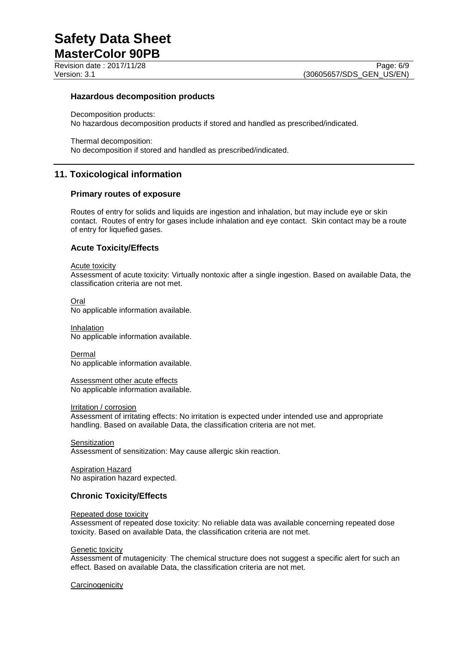Revision date : 2017/11/28 Page: 6/9

## **Hazardous decomposition products**

Decomposition products: No hazardous decomposition products if stored and handled as prescribed/indicated.

Thermal decomposition: No decomposition if stored and handled as prescribed/indicated.

## **11. Toxicological information**

## **Primary routes of exposure**

Routes of entry for solids and liquids are ingestion and inhalation, but may include eye or skin contact. Routes of entry for gases include inhalation and eye contact. Skin contact may be a route of entry for liquefied gases.

## **Acute Toxicity/Effects**

#### Acute toxicity

Assessment of acute toxicity: Virtually nontoxic after a single ingestion. Based on available Data, the classification criteria are not met.

#### Oral

No applicable information available.

Inhalation No applicable information available.

Dermal No applicable information available.

Assessment other acute effects No applicable information available.

#### Irritation / corrosion

Assessment of irritating effects: No irritation is expected under intended use and appropriate handling. Based on available Data, the classification criteria are not met.

**Sensitization** Assessment of sensitization: May cause allergic skin reaction.

Aspiration Hazard No aspiration hazard expected.

## **Chronic Toxicity/Effects**

#### Repeated dose toxicity

Assessment of repeated dose toxicity: No reliable data was available concerning repeated dose toxicity. Based on available Data, the classification criteria are not met.

#### **Genetic toxicity**

Assessment of mutagenicity: The chemical structure does not suggest a specific alert for such an effect. Based on available Data, the classification criteria are not met.

## **Carcinogenicity**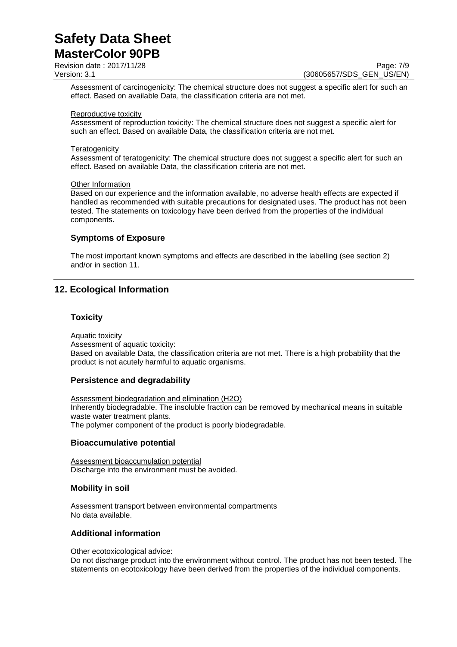Revision date : 2017/11/28 Page: 7/9

Version: 3.1 (30605657/SDS\_GEN\_US/EN)

Assessment of carcinogenicity: The chemical structure does not suggest a specific alert for such an effect. Based on available Data, the classification criteria are not met.

#### Reproductive toxicity

Assessment of reproduction toxicity: The chemical structure does not suggest a specific alert for such an effect. Based on available Data, the classification criteria are not met.

#### **Teratogenicity**

Assessment of teratogenicity: The chemical structure does not suggest a specific alert for such an effect. Based on available Data, the classification criteria are not met.

#### Other Information

Based on our experience and the information available, no adverse health effects are expected if handled as recommended with suitable precautions for designated uses. The product has not been tested. The statements on toxicology have been derived from the properties of the individual components.

## **Symptoms of Exposure**

The most important known symptoms and effects are described in the labelling (see section 2) and/or in section 11.

## **12. Ecological Information**

## **Toxicity**

Aquatic toxicity Assessment of aquatic toxicity: Based on available Data, the classification criteria are not met. There is a high probability that the product is not acutely harmful to aquatic organisms.

## **Persistence and degradability**

Assessment biodegradation and elimination (H2O) Inherently biodegradable. The insoluble fraction can be removed by mechanical means in suitable waste water treatment plants. The polymer component of the product is poorly biodegradable.

## **Bioaccumulative potential**

Assessment bioaccumulation potential Discharge into the environment must be avoided.

## **Mobility in soil**

Assessment transport between environmental compartments No data available.

## **Additional information**

Other ecotoxicological advice:

Do not discharge product into the environment without control. The product has not been tested. The statements on ecotoxicology have been derived from the properties of the individual components.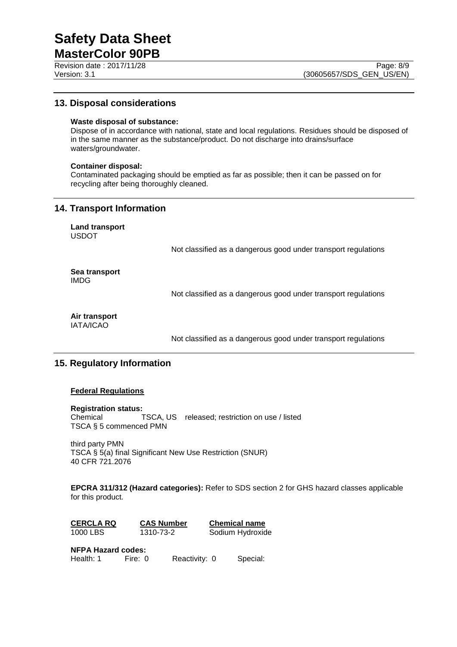# **Safety Data Sheet**

**MasterColor 90PB** Revision date : 2017/11/28 Page: 8/9

## **13. Disposal considerations**

## **Waste disposal of substance:**

Dispose of in accordance with national, state and local regulations. Residues should be disposed of in the same manner as the substance/product. Do not discharge into drains/surface waters/groundwater.

## **Container disposal:**

Contaminated packaging should be emptied as far as possible; then it can be passed on for recycling after being thoroughly cleaned.

## **14. Transport Information**

**Land transport** USDOT

Not classified as a dangerous good under transport regulations

**Sea transport** IMDG

Not classified as a dangerous good under transport regulations

**Air transport** IATA/ICAO

Not classified as a dangerous good under transport regulations

## **15. Regulatory Information**

## **Federal Regulations**

## **Registration status:**

Chemical TSCA, US released; restriction on use / listed TSCA § 5 commenced PMN

third party PMN TSCA § 5(a) final Significant New Use Restriction (SNUR) 40 CFR 721.2076

**EPCRA 311/312 (Hazard categories):** Refer to SDS section 2 for GHS hazard classes applicable for this product.

| <b>CERCLA RQ</b> | <b>CAS Number</b> | <b>Chemical name</b> |
|------------------|-------------------|----------------------|
| 1000 LBS         | 1310-73-2         | Sodium Hydroxide     |

**NFPA Hazard codes:**

Health: 1 Fire: 0 Reactivity: 0 Special: